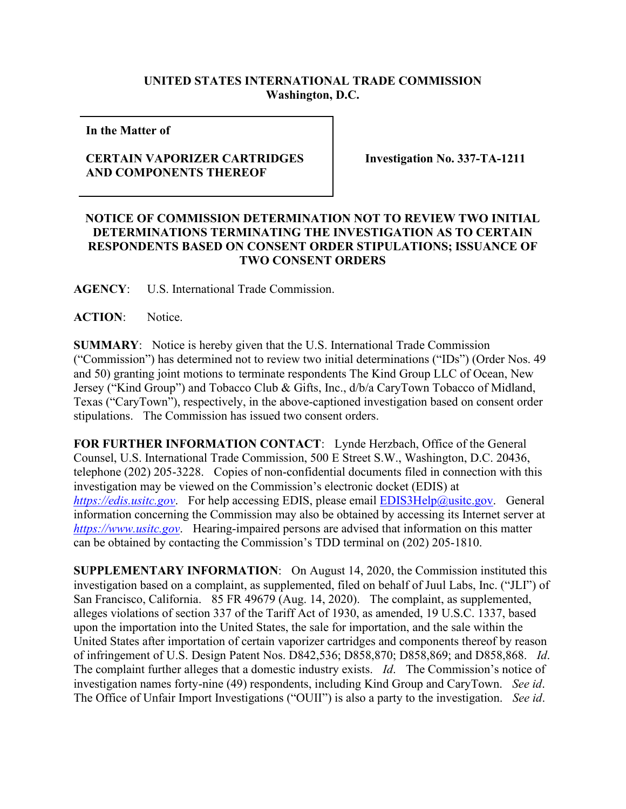## **UNITED STATES INTERNATIONAL TRADE COMMISSION Washington, D.C.**

**In the Matter of** 

## **CERTAIN VAPORIZER CARTRIDGES AND COMPONENTS THEREOF**

**Investigation No. 337-TA-1211**

## **NOTICE OF COMMISSION DETERMINATION NOT TO REVIEW TWO INITIAL DETERMINATIONS TERMINATING THE INVESTIGATION AS TO CERTAIN RESPONDENTS BASED ON CONSENT ORDER STIPULATIONS; ISSUANCE OF TWO CONSENT ORDERS**

**AGENCY**: U.S. International Trade Commission.

**ACTION**: Notice.

**SUMMARY**: Notice is hereby given that the U.S. International Trade Commission ("Commission") has determined not to review two initial determinations ("IDs") (Order Nos. 49 and 50) granting joint motions to terminate respondents The Kind Group LLC of Ocean, New Jersey ("Kind Group") and Tobacco Club & Gifts, Inc., d/b/a CaryTown Tobacco of Midland, Texas ("CaryTown"), respectively, in the above-captioned investigation based on consent order stipulations. The Commission has issued two consent orders.

**FOR FURTHER INFORMATION CONTACT**: Lynde Herzbach, Office of the General Counsel, U.S. International Trade Commission, 500 E Street S.W., Washington, D.C. 20436, telephone (202) 205-3228. Copies of non-confidential documents filed in connection with this investigation may be viewed on the Commission's electronic docket (EDIS) at *[https://edis.usitc.gov](https://edis.usitc.gov/)*. For help accessing EDIS, please email [EDIS3Help@usitc.gov.](mailto:EDIS3Help@usitc.gov) General information concerning the Commission may also be obtained by accessing its Internet server at *[https://www.usitc.gov](https://www.usitc.gov/)*. Hearing-impaired persons are advised that information on this matter can be obtained by contacting the Commission's TDD terminal on (202) 205-1810.

**SUPPLEMENTARY INFORMATION**: On August 14, 2020, the Commission instituted this investigation based on a complaint, as supplemented, filed on behalf of Juul Labs, Inc. ("JLI") of San Francisco, California. 85 FR 49679 (Aug. 14, 2020). The complaint, as supplemented, alleges violations of section 337 of the Tariff Act of 1930, as amended, 19 U.S.C. 1337, based upon the importation into the United States, the sale for importation, and the sale within the United States after importation of certain vaporizer cartridges and components thereof by reason of infringement of U.S. Design Patent Nos. D842,536; D858,870; D858,869; and D858,868. *Id*. The complaint further alleges that a domestic industry exists. *Id*. The Commission's notice of investigation names forty-nine (49) respondents, including Kind Group and CaryTown. *See id*. The Office of Unfair Import Investigations ("OUII") is also a party to the investigation. *See id*.